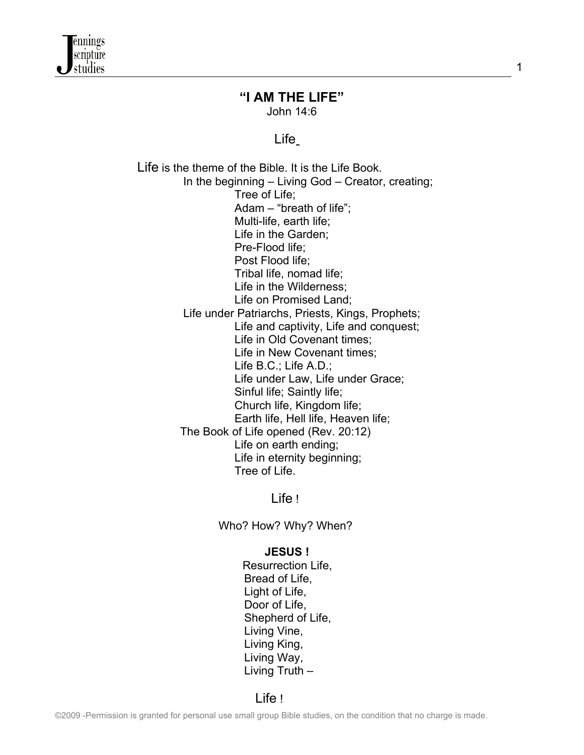

#### **"I AM THE LIFE"** John 14:6

1

#### *Life Communication Communication Communication Communication Communication Communication Communication Communication*

 Life is the theme of the Bible. It is the Life Book. In the beginning – Living God – Creator, creating; Tree of Life; Adam – "breath of life"; Multi-life, earth life; Life in the Garden; Pre-Flood life; Post Flood life; Tribal life, nomad life; Life in the Wilderness; Life on Promised Land; Life under Patriarchs, Priests, Kings, Prophets; Life and captivity, Life and conquest; Life in Old Covenant times; Life in New Covenant times; Life B.C.; Life A.D.; Life under Law, Life under Grace; Sinful life; Saintly life; Church life, Kingdom life; Earth life, Hell life, Heaven life; The Book of Life opened (Rev. 20:12) Life on earth ending; Life in eternity beginning; Tree of Life.

<u>Life ! And the second second second second second second second second second second second second second second se</u>

Who? How? Why? When?

#### **JESUS !**

Resurrection Life, Bread of Life, Light of Life, Door of Life, Shepherd of Life, Living Vine, Living King, Living Way, Living Truth –

<u>Life ! All the second second second second second second second second second second second second second seco</u>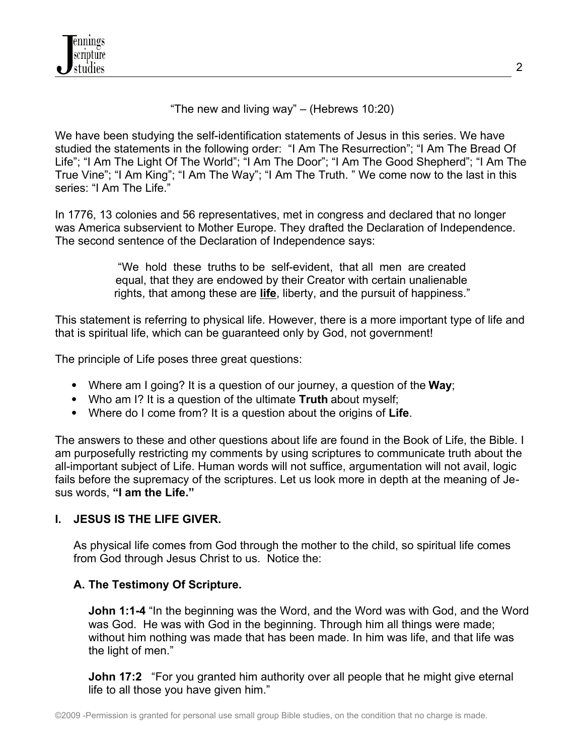"The new and living way" – (Hebrews 10:20)

We have been studying the self-identification statements of Jesus in this series. We have studied the statements in the following order: "I Am The Resurrection"; "I Am The Bread Of Life"; "I Am The Light Of The World"; "I Am The Door"; "I Am The Good Shepherd"; "I Am The True Vine"; "I Am King"; "I Am The Way"; "I Am The Truth. " We come now to the last in this series: "I Am The Life."

In 1776, 13 colonies and 56 representatives, met in congress and declared that no longer was America subservient to Mother Europe. They drafted the Declaration of Independence. The second sentence of the Declaration of Independence says:

> "We hold these truths to be self-evident, that all men are created equal, that they are endowed by their Creator with certain unalienable rights, that among these are **life**, liberty, and the pursuit of happiness."

This statement is referring to physical life. However, there is a more important type of life and that is spiritual life, which can be guaranteed only by God, not government!

The principle of Life poses three great questions:

- Where am I going? It is a question of our journey, a question of the **Way**;
- Who am I? It is a question of the ultimate **Truth** about myself;
- Where do I come from? It is a question about the origins of **Life**.

The answers to these and other questions about life are found in the Book of Life, the Bible. I am purposefully restricting my comments by using scriptures to communicate truth about the all-important subject of Life. Human words will not suffice, argumentation will not avail, logic fails before the supremacy of the scriptures. Let us look more in depth at the meaning of Jesus words, **"I am the Life."**

# **I. JESUS IS THE LIFE GIVER.**

As physical life comes from God through the mother to the child, so spiritual life comes from God through Jesus Christ to us. Notice the:

#### **A. The Testimony Of Scripture.**

**John 1:1-4** "In the beginning was the Word, and the Word was with God, and the Word was God. He was with God in the beginning. Through him all things were made; without him nothing was made that has been made. In him was life, and that life was the light of men."

**John 17:2** "For you granted him authority over all people that he might give eternal life to all those you have given him."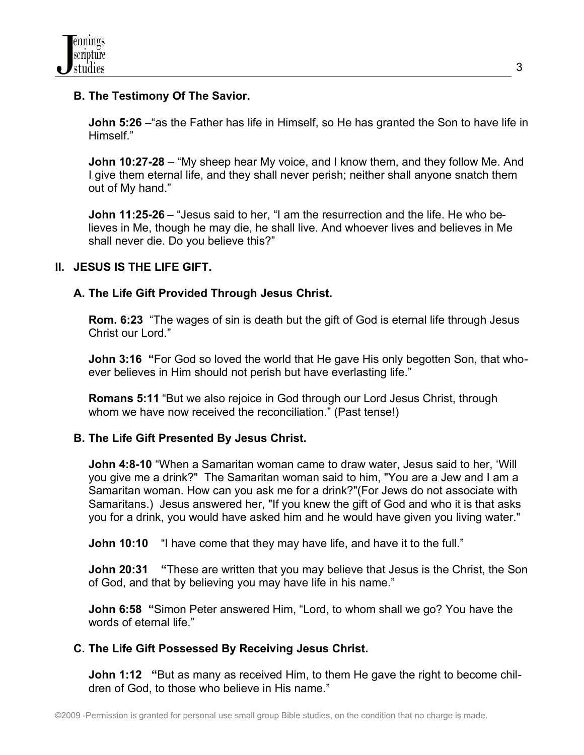# **B. The Testimony Of The Savior.**

**John 5:26** – "as the Father has life in Himself, so He has granted the Son to have life in Himself."

**John 10:27-28** – "My sheep hear My voice, and I know them, and they follow Me. And I give them eternal life, and they shall never perish; neither shall anyone snatch them out of My hand."

**John 11:25-26** – "Jesus said to her, "I am the resurrection and the life. He who believes in Me, though he may die, he shall live. And whoever lives and believes in Me shall never die. Do you believe this?"

## **II. JESUS IS THE LIFE GIFT.**

## **A. The Life Gift Provided Through Jesus Christ.**

**Rom. 6:23** "The wages of sin is death but the gift of God is eternal life through Jesus Christ our Lord."

**John 3:16 "**For God so loved the world that He gave His only begotten Son, that whoever believes in Him should not perish but have everlasting life."

**Romans 5:11** "But we also rejoice in God through our Lord Jesus Christ, through whom we have now received the reconciliation." (Past tense!)

#### **B. The Life Gift Presented By Jesus Christ.**

**John 4:8-10** "When a Samaritan woman came to draw water, Jesus said to her, 'Will you give me a drink?" The Samaritan woman said to him, "You are a Jew and I am a Samaritan woman. How can you ask me for a drink?"(For Jews do not associate with Samaritans.) Jesus answered her, "If you knew the gift of God and who it is that asks you for a drink, you would have asked him and he would have given you living water."

**John 10:10** "I have come that they may have life, and have it to the full."

**John 20:31** "These are written that you may believe that Jesus is the Christ, the Son of God, and that by believing you may have life in his name."

**John 6:58 "**Simon Peter answered Him, "Lord, to whom shall we go? You have the words of eternal life."

#### **C. The Life Gift Possessed By Receiving Jesus Christ.**

**John 1:12** "But as many as received Him, to them He gave the right to become children of God, to those who believe in His name."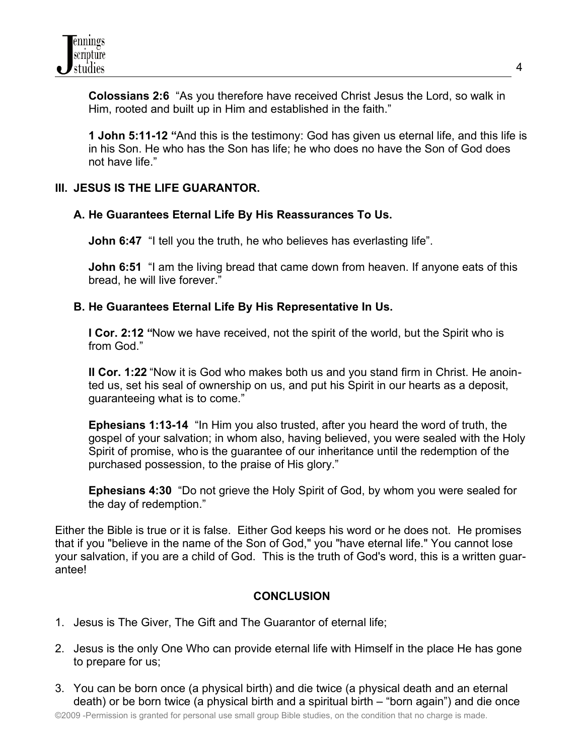**Colossians 2:6** "As you therefore have received Christ Jesus the Lord, so walk in Him, rooted and built up in Him and established in the faith."

**1 John 5:11-12 "**And this is the testimony: God has given us eternal life, and this life is in his Son. He who has the Son has life; he who does no have the Son of God does not have life."

## **III. JESUS IS THE LIFE GUARANTOR.**

## **A. He Guarantees Eternal Life By His Reassurances To Us.**

**John 6:47** "I tell you the truth, he who believes has everlasting life".

**John 6:51** "I am the living bread that came down from heaven. If anyone eats of this bread, he will live forever."

## **B. He Guarantees Eternal Life By His Representative In Us.**

**I Cor. 2:12 "Now we have received, not the spirit of the world, but the Spirit who is** from God."

**II Cor. 1:22** "Now it is God who makes both us and you stand firm in Christ. He anointed us, set his seal of ownership on us, and put his Spirit in our hearts as a deposit, guaranteeing what is to come."

**Ephesians 1:13-14** "In Him you also trusted, after you heard the word of truth, the gospel of your salvation; in whom also, having believed, you were sealed with the Holy Spirit of promise, who is the guarantee of our inheritance until the redemption of the purchased possession, to the praise of His glory."

**Ephesians 4:30** "Do not grieve the Holy Spirit of God, by whom you were sealed for the day of redemption."

Either the Bible is true or it is false. Either God keeps his word or he does not. He promises that if you "believe in the name of the Son of God," you "have eternal life." You cannot lose your salvation, if you are a child of God. This is the truth of God's word, this is a written guarantee!

# **CONCLUSION**

- 1. Jesus is The Giver, The Gift and The Guarantor of eternal life;
- 2. Jesus is the only One Who can provide eternal life with Himself in the place He has gone to prepare for us;
- 3. You can be born once (a physical birth) and die twice (a physical death and an eternal death) or be born twice (a physical birth and a spiritual birth – "born again") and die once